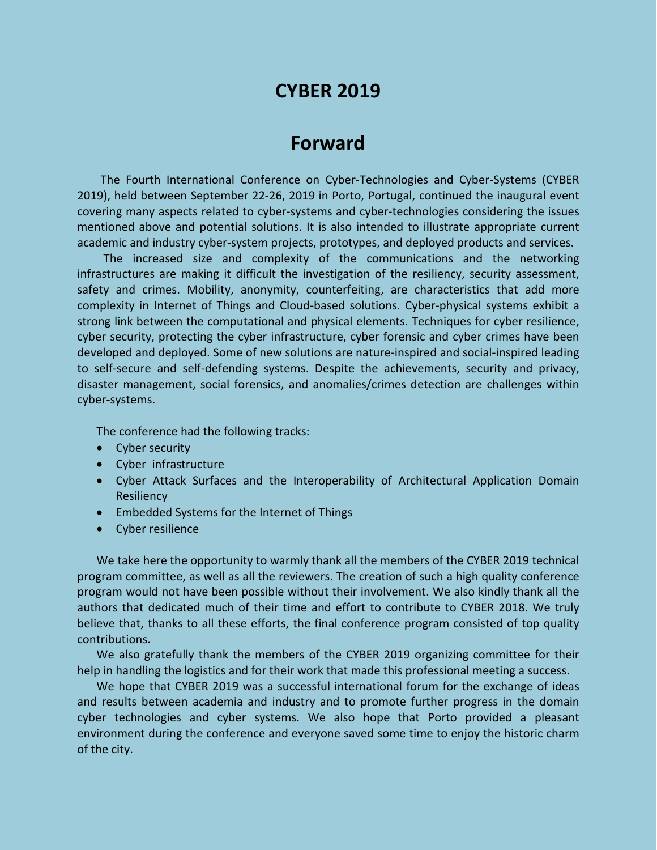# **CYBER 2019**

## **Forward**

The Fourth International Conference on Cyber-Technologies and Cyber-Systems (CYBER 2019), held between September 22-26, 2019 in Porto, Portugal, continued the inaugural event covering many aspects related to cyber-systems and cyber-technologies considering the issues mentioned above and potential solutions. It is also intended to illustrate appropriate current academic and industry cyber-system projects, prototypes, and deployed products and services.

The increased size and complexity of the communications and the networking infrastructures are making it difficult the investigation of the resiliency, security assessment, safety and crimes. Mobility, anonymity, counterfeiting, are characteristics that add more complexity in Internet of Things and Cloud-based solutions. Cyber-physical systems exhibit a strong link between the computational and physical elements. Techniques for cyber resilience, cyber security, protecting the cyber infrastructure, cyber forensic and cyber crimes have been developed and deployed. Some of new solutions are nature-inspired and social-inspired leading to self-secure and self-defending systems. Despite the achievements, security and privacy, disaster management, social forensics, and anomalies/crimes detection are challenges within cyber-systems.

The conference had the following tracks:

- Cyber security
- Cyber infrastructure
- Cyber Attack Surfaces and the Interoperability of Architectural Application Domain **Resiliency**
- Embedded Systems for the Internet of Things
- Cyber resilience

We take here the opportunity to warmly thank all the members of the CYBER 2019 technical program committee, as well as all the reviewers. The creation of such a high quality conference program would not have been possible without their involvement. We also kindly thank all the authors that dedicated much of their time and effort to contribute to CYBER 2018. We truly believe that, thanks to all these efforts, the final conference program consisted of top quality contributions.

We also gratefully thank the members of the CYBER 2019 organizing committee for their help in handling the logistics and for their work that made this professional meeting a success.

We hope that CYBER 2019 was a successful international forum for the exchange of ideas and results between academia and industry and to promote further progress in the domain cyber technologies and cyber systems. We also hope that Porto provided a pleasant environment during the conference and everyone saved some time to enjoy the historic charm of the city.